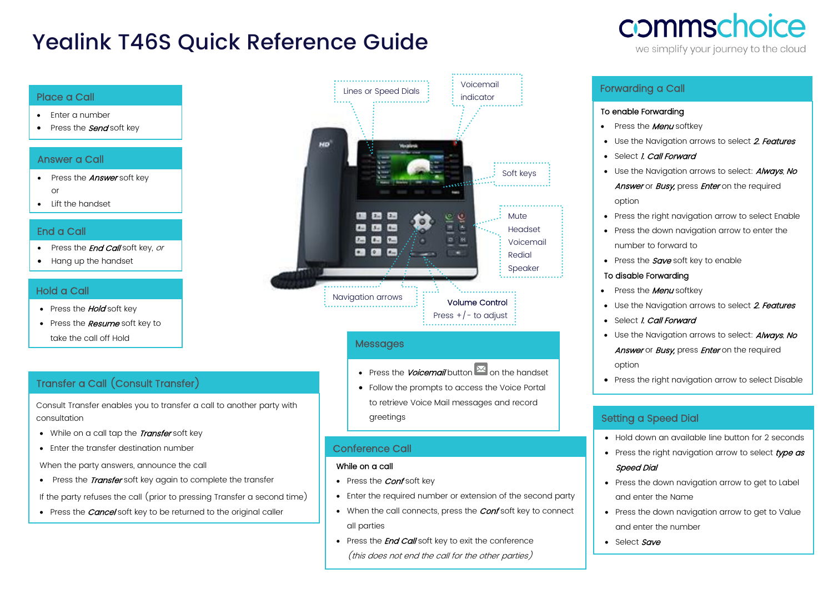# Yealink T46S Quick Reference Guide

#### Place a Call

- Enter a number
- Press the **Send** soft key

#### Answer a Call

- Press the **Answer** soft key or
- Lift the handset

#### End a Call

- Press the *End Call* soft key, or
- Hang up the handset

#### Hold a Call

- Press the **Hold** soft key
- Press the **Resume** soft key to take the call off Hold

## Transfer a Call (Consult Transfer)

Consult Transfer enables you to transfer a call to another party with consultation

- While on a call tap the Transfer soft key
- Enter the transfer destination number

When the party answers, announce the call

• Press the *Transfer* soft key again to complete the transfer

If the party refuses the call (prior to pressing Transfer a second time)

• Press the *Cancel* soft key to be returned to the original caller



#### **Messages**

• Press the *Voicemail* button  $\mathbb{E}$  on the handset

• Follow the prompts to access the Voice Portal to retrieve Voice Mail messages and record greetings

#### Conference Call

#### While on a call

•

- Press the *Conf* soft key
- Enter the required number or extension of the second party
- When the call connects, press the **Conf** soft key to connect all parties
- Press the **End Call** soft key to exit the conference (this does not end the call for the other parties)

# commschoice

we simplify your journey to the cloud

### Forwarding a Call

#### To enable Forwarding

- Press the **Menu** softkey
- Use the Naviaation arrows to select 2. Features
- Select *I. Call Forward*
- Use the Navigation arrows to select: **Always**, No Answer or Busy, press Enter on the required option
- Press the right navigation arrow to select Enable
- Press the down navigation arrow to enter the number to forward to
- Press the  $Save$  soft key to enable

#### To disable Forwarding

- Press the **Menu** softkey
- Use the Navigation arrows to select 2. Features
- Select *I. Call Forward*
- Use the Navigation arrows to select: **Always**, No

Answer or Busy, press Enter on the required option

• Press the right navigation arrow to select Disable

#### Setting a Speed Dial

- Hold down an available line button for 2 seconds
- Press the right navigation arrow to select type as Speed Dial
- Press the down navigation arrow to get to Label and enter the Name
- Press the down navigation arrow to get to Value and enter the number
- Select Save